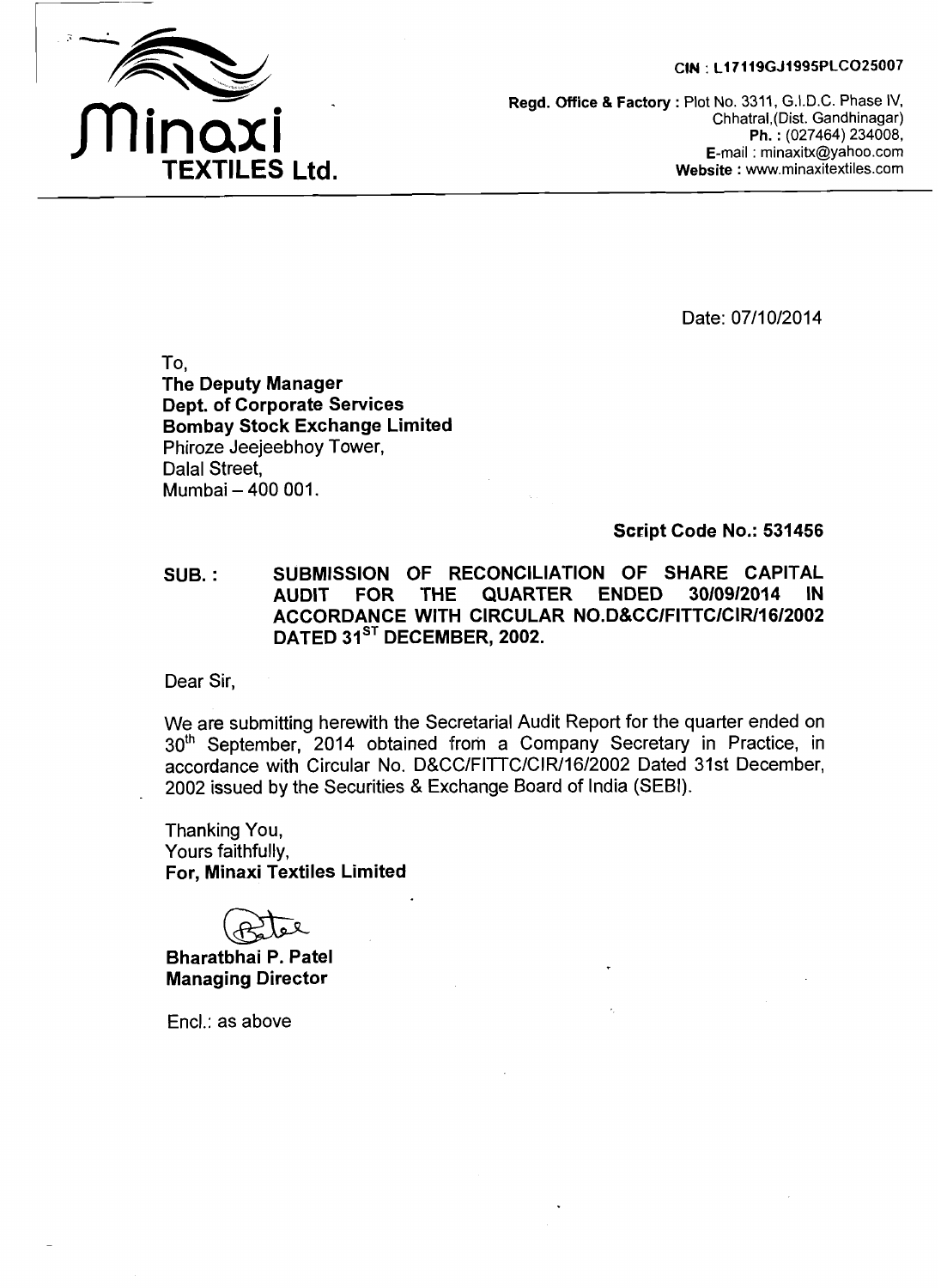#### **CIN** : **L17119GJ1995PLC025007**



**Regd. Office** & **Factory** : Plot No. 3311, G.I.D.C. Phase IV, Chhatral,(Dist. Gandhinagar) **Ph.** : (027464) 234008, E-mail : minaxitx@yahoo.com **Website** : www.minaxitextiles.com

Date: 07/10/2014

To. **'The Deputy Manager Dept. of Corporate Services Bombay Stock Exchange Limited**  Phiroze Jeejeebhoy Tower, Dalal Street, Mumbai - 400 001.

#### **Script Code No.: 531456**

**SUB.** : **SUBMISSION OF RECONCILIA'TION OF SHARE CAPITAL QUARTER ACCORDANCE WITH CIRCULAR NO.D&CC/FITTC/CIR/16/2002**  DATED 31<sup>ST</sup> DECEMBER, 2002.

Dear Sir,

We are submitting herewith the Secretarial Audit Report for the quarter ended on 30<sup>th</sup> September, 2014 obtained from a Company Secretary in Practice, in accordance with Circular No. D&CC/FITTC/CIR11612002 Dated 31st December, 2002 issued by the Securities & Exchange Board of India (SEBI).

Thanking You, Yours faithfully, **For, Minaxi Textiles Limited** 

**Bharatbhai P. Patel Managing Director** 

Encl.: as above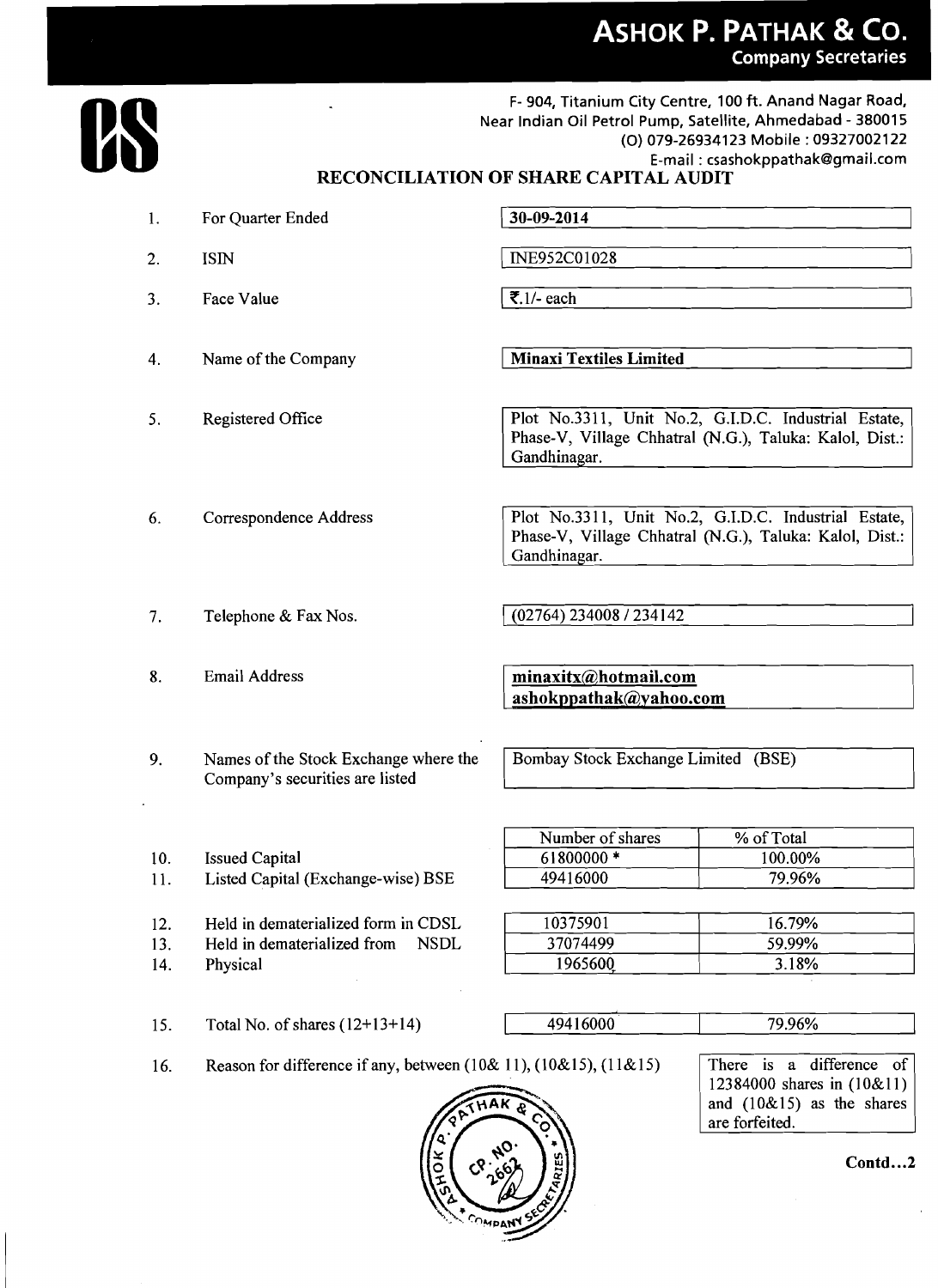# **ASHOK P. PATHAK & CO. Company Secretaries**



**F- 904,** Titanium City Centre, **100** ft. Anand Nagar Road, Near Indian Oil Petrol Pump, Satellite, Ahmedabad - **380015**  (0) **079-26934123** Mobile : **09327002122**  E-mail : csashokppathakQgmail.com

### **RECONCILIATION OF SHARE CAPITAL AUDIT**

| 1.  | For Quarter Ended                                                           | 30-09-2014                                                                                                                      |                                                                                        |  |  |
|-----|-----------------------------------------------------------------------------|---------------------------------------------------------------------------------------------------------------------------------|----------------------------------------------------------------------------------------|--|--|
| 2.  | <b>ISIN</b>                                                                 | INE952C01028                                                                                                                    |                                                                                        |  |  |
| 3.  | <b>Face Value</b>                                                           | ₹.1/- each                                                                                                                      |                                                                                        |  |  |
| 4.  | Name of the Company                                                         | <b>Minaxi Textiles Limited</b>                                                                                                  |                                                                                        |  |  |
| 5.  | Registered Office                                                           | Plot No.3311, Unit No.2, G.I.D.C. Industrial Estate,<br>Phase-V, Village Chhatral (N.G.), Taluka: Kalol, Dist.:<br>Gandhinagar. |                                                                                        |  |  |
| 6.  | Correspondence Address                                                      | Plot No.3311, Unit No.2, G.I.D.C. Industrial Estate,<br>Phase-V, Village Chhatral (N.G.), Taluka: Kalol, Dist.:<br>Gandhinagar. |                                                                                        |  |  |
| 7.  | Telephone & Fax Nos.                                                        | (02764) 234008 / 234142                                                                                                         |                                                                                        |  |  |
| 8.  | <b>Email Address</b>                                                        | minaxitx@hotmail.com<br>ashokppathak@yahoo.com                                                                                  |                                                                                        |  |  |
| 9.  | Names of the Stock Exchange where the<br>Company's securities are listed    | Bombay Stock Exchange Limited (BSE)                                                                                             |                                                                                        |  |  |
|     |                                                                             | Number of shares                                                                                                                | % of Total                                                                             |  |  |
| 10. | <b>Issued Capital</b>                                                       | 61800000 *                                                                                                                      | 100.00%                                                                                |  |  |
| 11. | Listed Capital (Exchange-wise) BSE                                          | 49416000                                                                                                                        | 79.96%                                                                                 |  |  |
|     |                                                                             |                                                                                                                                 |                                                                                        |  |  |
| 12. | Held in dematerialized form in CDSL                                         | 10375901                                                                                                                        | 16.79%                                                                                 |  |  |
| 13. | <b>NSDL</b><br>Held in dematerialized from                                  | 37074499                                                                                                                        | 59.99%                                                                                 |  |  |
| 14. | Physical                                                                    | 1965600                                                                                                                         | 3.18%                                                                                  |  |  |
| 15. | Total No. of shares $(12+13+14)$                                            | 49416000                                                                                                                        | 79.96%                                                                                 |  |  |
| 16. | Reason for difference if any, between $(10\& 11)$ , $(10\&15)$ , $(11\&15)$ |                                                                                                                                 | There is a difference of<br>12384000 shares in (10&11)<br>and $(10\&15)$ as the shares |  |  |



**Contd** ... **<sup>2</sup>**

are forfeited.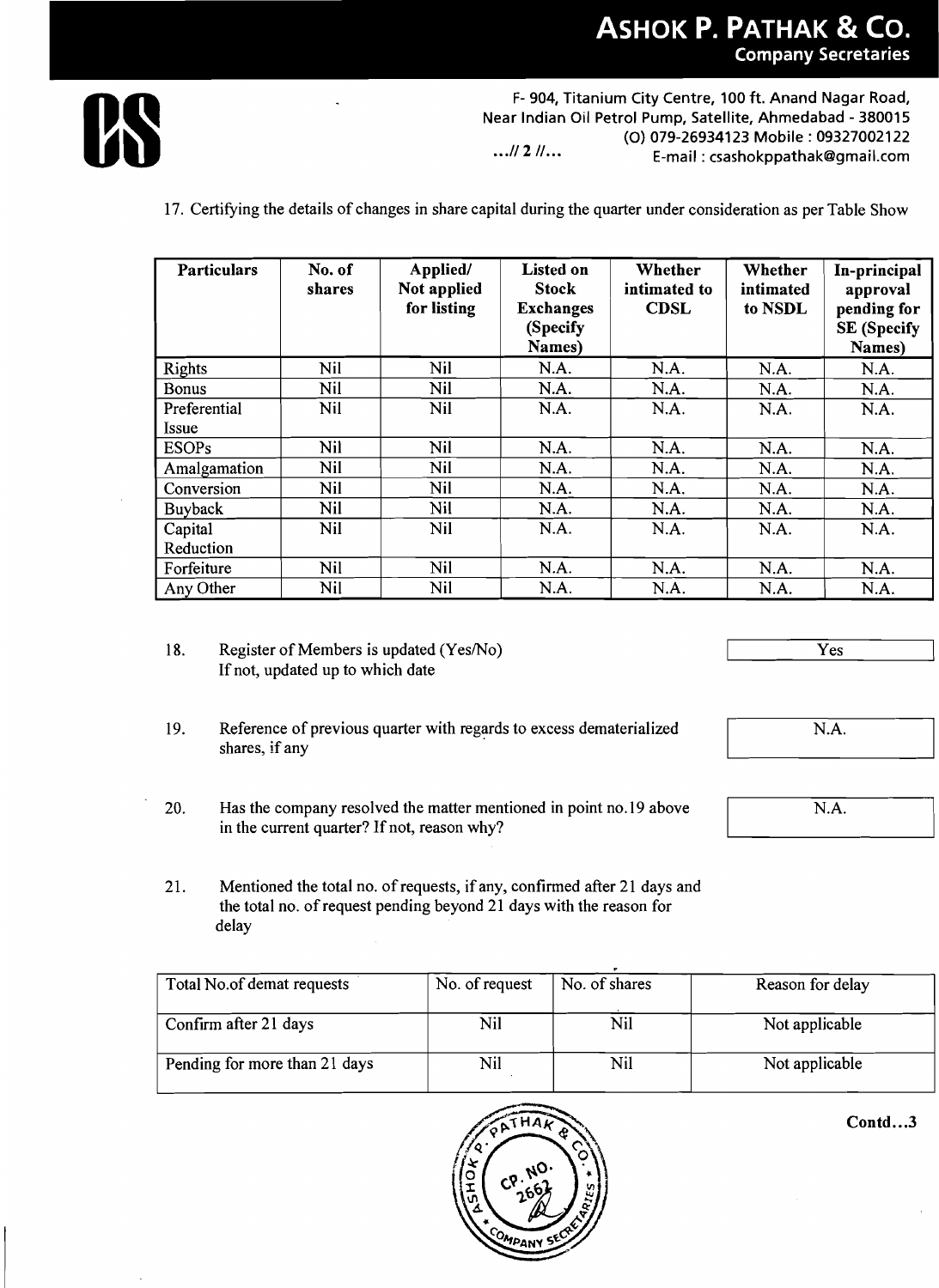

**F- 904, Titanium City Centre, 100 ft. Anand Nagar Road, Near Indian Oil Petrol Pump, Satellite, Ahmedabad** - **380015 (0) 079-269341 23 Mobile** : **093270021 22** ... **N 2 N... E-mail** : **csashokppathakQgmail.com** 

17. Certifying the details of changes in share capital during the quarter under consideration as per Table Show

| <b>Particulars</b> | No. of<br>shares | Applied/<br>Not applied<br>for listing | <b>Listed on</b><br><b>Stock</b><br><b>Exchanges</b><br>(Specify<br>Names) | Whether<br>intimated to<br><b>CDSL</b> | Whether<br>intimated<br>to NSDL | In-principal<br>approval<br>pending for<br><b>SE (Specify</b><br>Names) |
|--------------------|------------------|----------------------------------------|----------------------------------------------------------------------------|----------------------------------------|---------------------------------|-------------------------------------------------------------------------|
| <b>Rights</b>      | Nil              | <b>Nil</b>                             | N.A.                                                                       | N.A.                                   | N.A.                            | N.A.                                                                    |
| <b>Bonus</b>       | Nil              | Nil                                    | N.A.                                                                       | N.A.                                   | N.A.                            | N.A.                                                                    |
| Preferential       | <b>Nil</b>       | <b>Nil</b>                             | N.A.                                                                       | N.A.                                   | N.A.                            | N.A.                                                                    |
| Issue              |                  |                                        |                                                                            |                                        |                                 |                                                                         |
| <b>ESOPs</b>       | <b>Nil</b>       | Nil                                    | N.A.                                                                       | N.A.                                   | N.A.                            | N.A.                                                                    |
| Amalgamation       | Nil              | Nil                                    | N.A.                                                                       | N.A.                                   | N.A.                            | N.A.                                                                    |
| Conversion         | Nil              | <b>Nil</b>                             | N.A.                                                                       | N.A.                                   | N.A.                            | N.A.                                                                    |
| Buyback            | Nil              | Nil                                    | N.A.                                                                       | N.A.                                   | N.A.                            | N.A.                                                                    |
| Capital            | Nil              | Nil                                    | N.A.                                                                       | N.A.                                   | N.A.                            | N.A.                                                                    |
| Reduction          |                  |                                        |                                                                            |                                        |                                 |                                                                         |
| Forfeiture         | Nil              | <b>Nil</b>                             | N.A.                                                                       | N.A.                                   | N.A.                            | N.A.                                                                    |
| Any Other          | Nil              | <b>Nil</b>                             | N.A.                                                                       | N.A.                                   | N.A.                            | N.A.                                                                    |

- 18. Register of Members is updated (Yes/No) If not, updated up to which date
- 19. Reference of previous quarter with regards to excess dematerialized shares, if any
- 20. Has the company resolved the matter mentioned in point no. 19 above in the current quarter? If not, reason why?
- 21. Mentioned the total no. of requests, if any, confirmed after 21 days and the total no. of request pending beyond 21 days with the reason for delay

| Total No.of demat requests    | No. of request | No. of shares | Reason for delay |
|-------------------------------|----------------|---------------|------------------|
| Confirm after 21 days         | Nil            | Nil           | Not applicable   |
| Pending for more than 21 days | Nil            | Nil           | Not applicable   |



**Contd** ... **<sup>3</sup>**

Yes

N.A.

N.A.